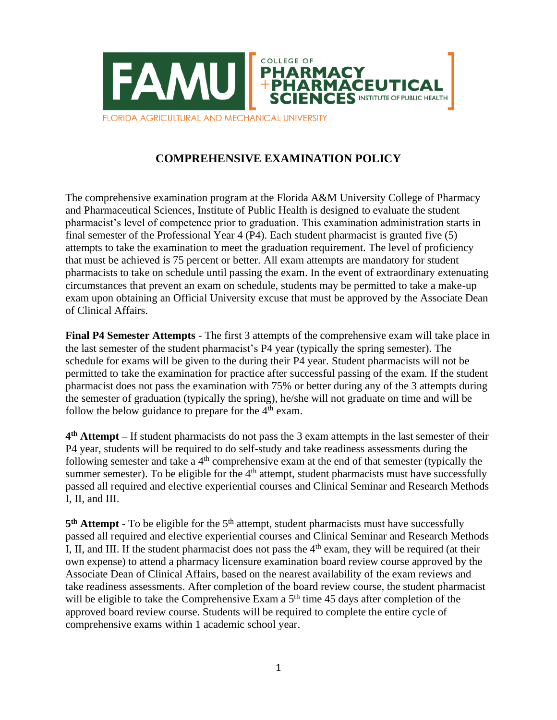

## **COMPREHENSIVE EXAMINATION POLICY**

The comprehensive examination program at the Florida A&M University College of Pharmacy and Pharmaceutical Sciences, Institute of Public Health is designed to evaluate the student pharmacist's level of competence prior to graduation. This examination administration starts in final semester of the Professional Year 4 (P4). Each student pharmacist is granted five (5) attempts to take the examination to meet the graduation requirement. The level of proficiency that must be achieved is 75 percent or better. All exam attempts are mandatory for student pharmacists to take on schedule until passing the exam. In the event of extraordinary extenuating circumstances that prevent an exam on schedule, students may be permitted to take a make-up exam upon obtaining an Official University excuse that must be approved by the Associate Dean of Clinical Affairs.

**Final P4 Semester Attempts** - The first 3 attempts of the comprehensive exam will take place in the last semester of the student pharmacist's P4 year (typically the spring semester). The schedule for exams will be given to the during their P4 year. Student pharmacists will not be permitted to take the examination for practice after successful passing of the exam. If the student pharmacist does not pass the examination with 75% or better during any of the 3 attempts during the semester of graduation (typically the spring), he/she will not graduate on time and will be follow the below guidance to prepare for the  $4<sup>th</sup>$  exam.

**4 th Attempt –** If student pharmacists do not pass the 3 exam attempts in the last semester of their P4 year, students will be required to do self-study and take readiness assessments during the following semester and take a  $4<sup>th</sup>$  comprehensive exam at the end of that semester (typically the summer semester). To be eligible for the  $4<sup>th</sup>$  attempt, student pharmacists must have successfully passed all required and elective experiential courses and Clinical Seminar and Research Methods I, II, and III.

5<sup>th</sup> Attempt - To be eligible for the 5<sup>th</sup> attempt, student pharmacists must have successfully passed all required and elective experiential courses and Clinical Seminar and Research Methods I, II, and III. If the student pharmacist does not pass the  $4<sup>th</sup>$  exam, they will be required (at their own expense) to attend a pharmacy licensure examination board review course approved by the Associate Dean of Clinical Affairs, based on the nearest availability of the exam reviews and take readiness assessments. After completion of the board review course, the student pharmacist will be eligible to take the Comprehensive Exam a  $5<sup>th</sup>$  time 45 days after completion of the approved board review course. Students will be required to complete the entire cycle of comprehensive exams within 1 academic school year.